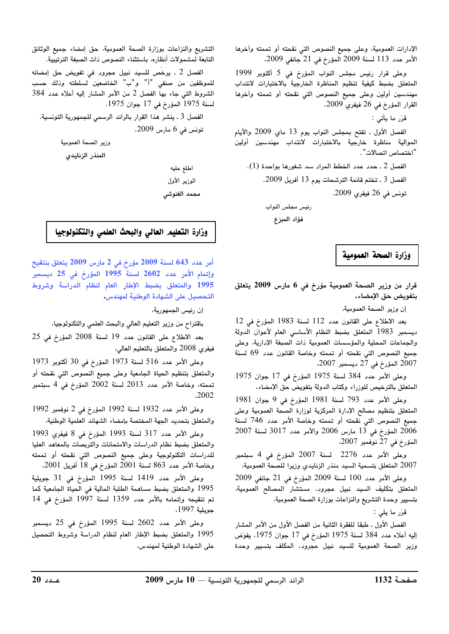الإدارات العمومية، وعلى حميع النصوص التي نقحته أو تممته وآخرها  $(2009, 2100)$  الأمر عدد 113 لسنة 2009 المؤرخ في 21 حانف

وعلى قرار رئيس محلس النواب المؤرخ في 5 أكتوبر 1999 المتعلق بضبط كيفية تنظيم المناظرة الخارجية بالاختبارات لانتداب مهندسين أولين وعلى جميع النصوص التي نقحته أو تممته وآخرها  $2009$  القرار المؤرخ في 26 فيفري 2009.

ق، ما مأتين:

الفصل الأول . تفتح بمجلس النواب بوم 13 ماي 2009 والأيام الموالية مناظرة خارجية بالاختبارات لانتداب مهندسين أولين "اختصاص اتصالات".

 $(1)$  الفصل 2 . حدد عدد الخطط المراد سد شغورها بواحدة  $(1)$ .

الفصل 3 . تختم قائمة الترشحات يوم 13 أفريل 2009.

نونس ف*ي* 26 فيفري 2009.

رئيس مجلس النواب

فؤاد المبزع

وزارة الصحة العمومية

.<br>قرار من وزير الصحة العمومية مؤرخ في 6 مارس 2009 يتعلق بتفويض حق الإمضاء.

إن وزير الصحة العمومية،

بعد الإطلاع على القانون عدد 112 لسنة 1983 المؤرخ في 12 ديسمبر 1983 المتعلق بضبط النظام الأساسي العام لأعوان الدولة والجماعات المجلبة والمؤسسات العمومية ذات الصبغة الإدارية، وعلى جميع النصوص التي نقحته أو تممته وخاصة القانون عدد 69 لسنة  $2007$  المؤرخ في 2 $7$  ديسمد 2007،

 $1975$  وعلى الأمر عدد 384 لسنة 1975 المؤرخ في 17 جوان 1975 لمتعلق بالترخيص للوزراء وكتاب الدولة بتفويض حق الامضاء،

وعلى الأمر عدد 793 لسنة 1981 المؤرخ في 9 حوان 1981 المتعلق بتنظيم مصالح الإدارة المركزية لوزارة الصحة العمومية وعلى جميع النصوص التى نقحته أو تممته وخاصة الأمر عدد 746 لسنة  $2007$  المؤرخ في 13 مارس 2006 والأمر عدد 3017 لسنة 2007  $\frac{13}{2006}$  $(2007, 27)$  لمؤرخ في 27 نوفمبر

 $+$ وعلى الأمر عدد 2276 لسنة 2007 المؤرخ في 4 سبتمبر .<br>2007 المتعلق بتسمية السيد منذر الزنابدي وزيرا للصحة العمومية،

 $2009$  وعلى الأمر عدد 100 لسنة 2009 المؤرخ في 21 جانف 2009 .<br>المتعلق بتكليف السيد نبيل عجروبي مستشار المصالح العمومية، .<br>يتسبب وحدة التشريع والنزاعات بوزارة الصحة العمومية.

.<br>ق ما يل*س:* 

الفصل الأول ـ طبقا للفقرة الثانية من الفصل الأول من الأمر المشار الله أعلاه عدد 384 لسنة 1975 المؤرخ في 17 حوان 1975، يفوّض وزير الصحة العمومية للسيد نبيل عجرود، المكلف بتسيير وحدة

التشريع والنزاعات بوزارة الصحة العمومية، حق إمضاء حميع الوثائق التابعة لمشمولات أنظاره، باستثناء النصوص ذات الصيغة الترتيبية.<br>.

الفصل 2 ـ يرخص للسيد نبيل عجرود في تفويض حق إمضائه للموظفين من صنفي "أ" و"ب" الخاضعين لسلطته وذلك حسب الشروط التي جاء بها الفصل 2 من الأمر المشار اليه أعلاه عدد 384  $1975$  سنة 1975 المؤرخ في 17 حوان 1975.

الفصل 3 . ينشر هذا القرار بالرائد الرسمي للجمهورية التونسية. تونس في 6 مارس 2009.

وزير الصحة العمومية

المنذر الزنايدى

اطلع عليه الوزير الأول محمد الغنوشى

وزارة التعليم العالي والبحث العلمي والتكنولوجيا

أمر عدد 643 لسنة 2009 مؤرخ في 2 مارس 2009 يتعلق بتنقيح  $\epsilon$ وإتمام الأمر عدد 2602 لسنة 1995 المؤرخ في 25 ديسمبر .<br>1995 والمتعلق بضبط الإطار العام لنظام الدراسة وشروط التحصيل على الشهادة الوطنية لمهندس.

ان رئيس الجمهورية،

باقتراح من وزير التعليم العالي والبحث العلمي والتكنولوجيا،

.<br>يعد الإطلاع على القانون عدد 19 لسنة 2008 المؤرخ في 25 فيفري 2008 والمتعلق بالتعليم العالي،

 $1973$  وعلى الأمر عدد 516 لسنة 1973 المؤرخ في 30 أكتوبر 1973 والمتعلق بتنظيم الحياة الجامعية وعلى جميع النصوص التي نقحته أو  $^2$ تممته، وخاصة الأمر عدد 2013 لسنة 2002 المؤرخ في 4 سبتمبر ^2002

 $1992$  وعلى الأمر عدد 1932 لسنة 1992 المؤرخ في 2 نوفمد 1992 والمتعلق بتحديد الجهة المختصة بإمضاء الشهائد العلمية الوطنية،

وعلى الأمر عدد 317 لسنة 1993 المؤرخ في 8 فيفري 1993 .<br>والمتعلق بضبط نظام الدراسات والامتحانات والتربصات بالمعاهد العلبا .<br>للدراسات التكنولوجية وعلى جميع النصوص التي نقحته أو تممته  $2001$  وخاصة الأمر عدد 863 لسنة 2001 المؤرخ في 18 أفريل 2001،

وعلى الأمر عدد 1419 لسنة 1995 المؤرخ في 31 حويلية 1995 والمتعلق بضبط مساهمة الطلبة المالية فى الحياة الجامعية كما تم تنقيحه وإتمامه بالأمر عدد 1359 لسنة 1997 المؤرخ فى 14 حويلية 1997،

ي عدد 1971 السيد نبيل عجرود، المكلف بتسيير وحدة المعادة الوطنية المهندس، السياسي السياسي المعادة العاملية لمهند<br>صحة العمومية للسيد نبيل عجرود، المكلف بتسيير وحدة المعلمان الشهادة الوطنية لمهندس،<br><mark>ة 1132 المحمود المعادير ا</mark> وعلى الأمر عدد 2602 لسنة 1995 المؤرخ في 25 ديسمبر .<br>1995 والمتعلق بضبط الإطار العام لنظام الدراسة وشروط التحصيل على الشهادة الوطنية لمهندس،